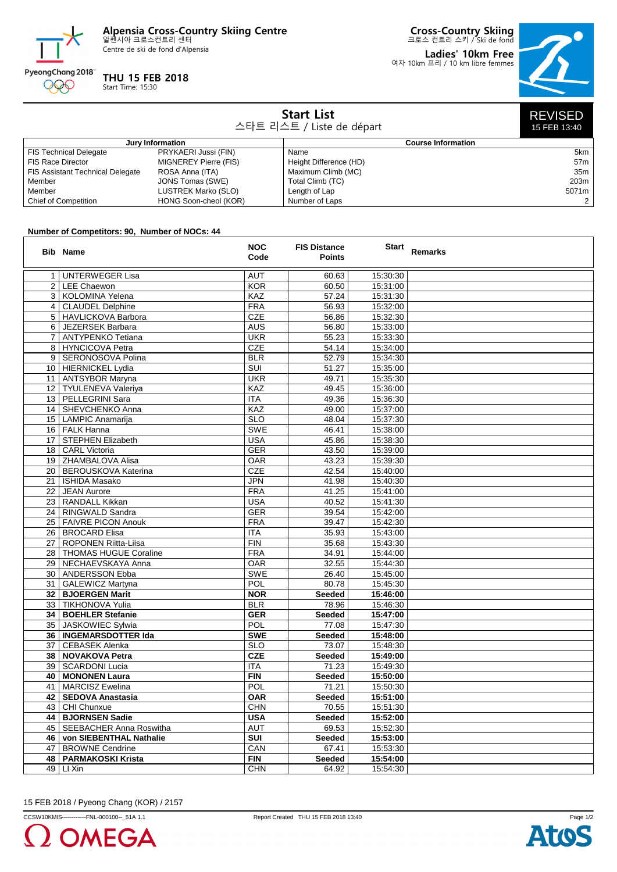**Alpensia Cross-Country Skiing Centre** 알펜시아 크로스컨트리 센터

Centre de ski de fond d'Alpensia



## **THU 15 FEB 2018**

Start Time: 15:30

**Cross-Country Skiing** 크로스 컨트리 스키 / Ski de fond

**Ladies' 10km Free** 여자 10km 프리 / 10 km libre femmes



| <b>Start List</b><br>스타트 리스트 / Liste de départ |                              |                           |       |  |  |  |
|------------------------------------------------|------------------------------|---------------------------|-------|--|--|--|
| Jury Information                               |                              | <b>Course Information</b> |       |  |  |  |
| FIS Technical Delegate                         | PRYKAERI Jussi (FIN)         | Name                      | 5km   |  |  |  |
| FIS Race Director                              | <b>MIGNEREY Pierre (FIS)</b> | Height Difference (HD)    | 57m   |  |  |  |
| FIS Assistant Technical Delegate               | ROSA Anna (ITA)              | Maximum Climb (MC)        | 35m   |  |  |  |
| Member                                         | JONS Tomas (SWE)             | Total Climb (TC)          | 203m  |  |  |  |
| Member                                         | LUSTREK Marko (SLO)          | Length of Lap             | 5071m |  |  |  |
| Chief of Competition                           | HONG Soon-cheol (KOR)        | Number of Laps            |       |  |  |  |

## **Number of Competitors: 90, Number of NOCs: 44**

|                 | <b>Bib Name</b>              | <b>NOC</b><br>Code | <b>FIS Distance</b><br><b>Points</b> | <b>Start</b> | Remarks |
|-----------------|------------------------------|--------------------|--------------------------------------|--------------|---------|
| $\mathbf{1}$    | <b>UNTERWEGER Lisa</b>       | <b>AUT</b>         | 60.63                                | 15:30:30     |         |
| $\overline{2}$  | LEE Chaewon                  | <b>KOR</b>         | 60.50                                | 15:31:00     |         |
| 3               | KOLOMINA Yelena              | KAZ                | 57.24                                | 15:31:30     |         |
|                 | 4   CLAUDEL Delphine         | <b>FRA</b>         | 56.93                                | 15:32:00     |         |
|                 | 5   HAVLICKOVA Barbora       | <b>CZE</b>         | 56.86                                | 15:32:30     |         |
| 6               | JEZERSEK Barbara             | <b>AUS</b>         | 56.80                                | 15:33:00     |         |
| $\overline{7}$  | <b>ANTYPENKO Tetiana</b>     | <b>UKR</b>         | 55.23                                | 15:33:30     |         |
| 8               | HYNCICOVA Petra              | <b>CZE</b>         | 54.14                                | 15:34:00     |         |
| 9               | SERONOSOVA Polina            | <b>BLR</b>         | 52.79                                | 15:34:30     |         |
| 10 <sup>1</sup> | HIERNICKEL Lydia             | SUI                | 51.27                                | 15:35:00     |         |
|                 | 11   ANTSYBOR Maryna         | <b>UKR</b>         | 49.71                                | 15:35:30     |         |
|                 | 12   TYULENEVA Valeriya      | KAZ                | 49.45                                | 15:36:00     |         |
|                 | 13   PELLEGRINI Sara         | <b>ITA</b>         | 49.36                                | 15:36:30     |         |
|                 | 14 SHEVCHENKO Anna           | KAZ                | 49.00                                | 15:37:00     |         |
|                 | 15   LAMPIC Anamarija        | <b>SLO</b>         | 48.04                                | 15:37:30     |         |
|                 | 16   FALK Hanna              | <b>SWE</b>         | 46.41                                | 15:38:00     |         |
| 17              | STEPHEN Elizabeth            | <b>USA</b>         | 45.86                                | 15:38:30     |         |
|                 | 18   CARL Victoria           | <b>GER</b>         | 43.50                                | 15:39:00     |         |
|                 | 19   ZHAMBALOVA Alisa        | <b>OAR</b>         | 43.23                                | 15:39:30     |         |
|                 | 20   BEROUSKOVA Katerina     | <b>CZE</b>         | 42.54                                | 15:40:00     |         |
|                 | 21   ISHIDA Masako           | <b>JPN</b>         | 41.98                                | 15:40:30     |         |
| 22              | <b>JEAN Aurore</b>           | <b>FRA</b>         | 41.25                                | 15:41:00     |         |
|                 | 23 RANDALL Kikkan            | <b>USA</b>         | 40.52                                | 15:41:30     |         |
|                 | 24   RINGWALD Sandra         | <b>GER</b>         | 39.54                                | 15:42:00     |         |
| 25              | <b>FAIVRE PICON Anouk</b>    | <b>FRA</b>         | 39.47                                | 15:42:30     |         |
|                 | 26 BROCARD Elisa             | <b>ITA</b>         | 35.93                                | 15:43:00     |         |
| 27              | <b>ROPONEN Riitta-Liisa</b>  | <b>FIN</b>         | 35.68                                | 15:43:30     |         |
|                 | 28   THOMAS HUGUE Coraline   | <b>FRA</b>         | 34.91                                | 15:44:00     |         |
| 29              | NECHAEVSKAYA Anna            | <b>OAR</b>         | 32.55                                | 15:44:30     |         |
|                 | 30   ANDERSSON Ebba          | <b>SWE</b>         | 26.40                                | 15:45:00     |         |
|                 | 31   GALEWICZ Martyna        | POL                | 80.78                                | 15:45:30     |         |
|                 | 32   BJOERGEN Marit          | <b>NOR</b>         | <b>Seeded</b>                        | 15:46:00     |         |
| 33              | <b>TIKHONOVA Yulia</b>       | <b>BLR</b>         | 78.96                                | 15:46:30     |         |
|                 | 34   BOEHLER Stefanie        | <b>GER</b>         | Seeded                               | 15:47:00     |         |
|                 | 35   JASKOWIEC Sylwia        | POL                | 77.08                                | 15:47:30     |         |
|                 | 36   INGEMARSDOTTER Ida      | <b>SWE</b>         | Seeded                               | 15:48:00     |         |
| 37              | <b>CEBASEK Alenka</b>        | <b>SLO</b>         | 73.07                                | 15:48:30     |         |
| 38              | NOVAKOVA Petra               | <b>CZE</b>         | Seeded                               | 15:49:00     |         |
|                 | 39   SCARDONI Lucia          | <b>ITA</b>         | 71.23                                | 15:49:30     |         |
| 40              | <b>MONONEN Laura</b>         | <b>FIN</b>         | Seeded                               | 15:50:00     |         |
| 41              | <b>MARCISZ Ewelina</b>       | POL                | 71.21                                | 15:50:30     |         |
| 42              | <b>SEDOVA Anastasia</b>      | <b>OAR</b>         | Seeded                               | 15:51:00     |         |
| 43              | CHI Chunxue                  | <b>CHN</b>         | 70.55                                | 15:51:30     |         |
|                 | 44   BJORNSEN Sadie          | <b>USA</b>         | Seeded                               | 15:52:00     |         |
|                 | 45   SEEBACHER Anna Roswitha | <b>AUT</b>         | 69.53                                | 15:52:30     |         |
|                 | 46   von SIEBENTHAL Nathalie | <b>SUI</b>         | Seeded                               | 15:53:00     |         |
| 47              | <b>BROWNE Cendrine</b>       | CAN                | 67.41                                | 15:53:30     |         |
| 48              | <b>PARMAKOSKI Krista</b>     | <b>FIN</b>         | <b>Seeded</b>                        | 15:54:00     |         |
| 49              | LI Xin                       | <b>CHN</b>         | 64.92                                | 15:54:30     |         |

15 FEB 2018 / Pyeong Chang (KOR) / 2157